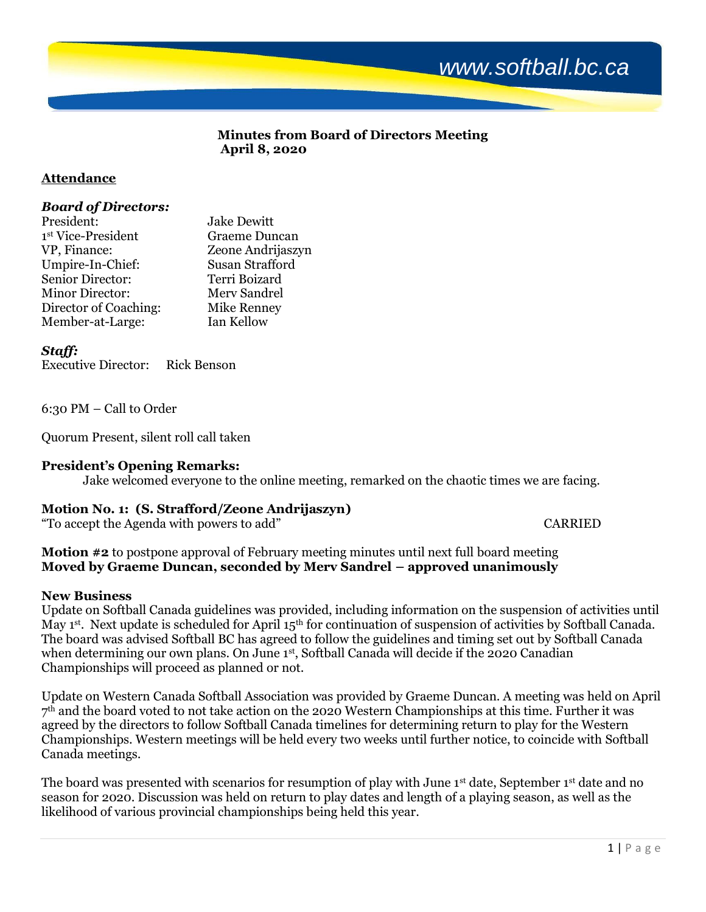

# **Minutes from Board of Directors Meeting April 8, 2020**

# **Attendance**

### *Board of Directors:*

| <b>Graeme Duncan</b>   |
|------------------------|
| Zeone Andrijaszyn      |
| <b>Susan Strafford</b> |
| Terri Boizard          |
| Merv Sandrel           |
| <b>Mike Renney</b>     |
| Ian Kellow             |
|                        |

## *Staff:*

Executive Director: Rick Benson

6:30 PM – Call to Order

Quorum Present, silent roll call taken

## **President's Opening Remarks:**

Jake welcomed everyone to the online meeting, remarked on the chaotic times we are facing.

# **Motion No. 1: (S. Strafford/Zeone Andrijaszyn)**

"To accept the Agenda with powers to add" CARRIED

**Motion #2** to postpone approval of February meeting minutes until next full board meeting **Moved by Graeme Duncan, seconded by Merv Sandrel – approved unanimously**

#### **New Business**

Update on Softball Canada guidelines was provided, including information on the suspension of activities until May 1<sup>st</sup>. Next update is scheduled for April 15<sup>th</sup> for continuation of suspension of activities by Softball Canada. The board was advised Softball BC has agreed to follow the guidelines and timing set out by Softball Canada when determining our own plans. On June 1st, Softball Canada will decide if the 2020 Canadian Championships will proceed as planned or not.

Update on Western Canada Softball Association was provided by Graeme Duncan. A meeting was held on April 7 th and the board voted to not take action on the 2020 Western Championships at this time. Further it was agreed by the directors to follow Softball Canada timelines for determining return to play for the Western Championships. Western meetings will be held every two weeks until further notice, to coincide with Softball Canada meetings.

The board was presented with scenarios for resumption of play with June 1<sup>st</sup> date, September 1<sup>st</sup> date and no season for 2020. Discussion was held on return to play dates and length of a playing season, as well as the likelihood of various provincial championships being held this year.